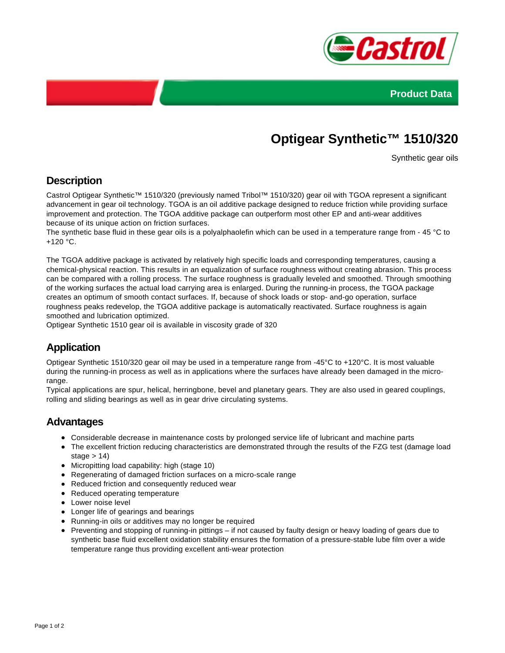



# **Optigear Synthetic™ 1510/320**

Synthetic gear oils

### **Description**

Castrol Optigear Synthetic™ 1510/320 (previously named Tribol™ 1510/320) gear oil with TGOA represent a significant advancement in gear oil technology. TGOA is an oil additive package designed to reduce friction while providing surface improvement and protection. The TGOA additive package can outperform most other EP and anti-wear additives because of its unique action on friction surfaces.

The synthetic base fluid in these gear oils is a polyalphaolefin which can be used in a temperature range from - 45 °C to +120 °C.

The TGOA additive package is activated by relatively high specific loads and corresponding temperatures, causing a chemical-physical reaction. This results in an equalization of surface roughness without creating abrasion. This process can be compared with a rolling process. The surface roughness is gradually leveled and smoothed. Through smoothing of the working surfaces the actual load carrying area is enlarged. During the running-in process, the TGOA package creates an optimum of smooth contact surfaces. If, because of shock loads or stop- and-go operation, surface roughness peaks redevelop, the TGOA additive package is automatically reactivated. Surface roughness is again smoothed and lubrication optimized.

Optigear Synthetic 1510 gear oil is available in viscosity grade of 320

## **Application**

Optigear Synthetic 1510/320 gear oil may be used in a temperature range from -45°C to +120°C. It is most valuable during the running-in process as well as in applications where the surfaces have already been damaged in the microrange.

Typical applications are spur, helical, herringbone, bevel and planetary gears. They are also used in geared couplings, rolling and sliding bearings as well as in gear drive circulating systems.

#### **Advantages**

- Considerable decrease in maintenance costs by prolonged service life of lubricant and machine parts
- The excellent friction reducing characteristics are demonstrated through the results of the FZG test (damage load stage  $> 14$ )
- Micropitting load capability: high (stage 10)
- Regenerating of damaged friction surfaces on a micro-scale range
- Reduced friction and consequently reduced wear
- Reduced operating temperature
- **•** Lower noise level
- Longer life of gearings and bearings
- Running-in oils or additives may no longer be required
- Preventing and stopping of running-in pittings if not caused by faulty design or heavy loading of gears due to synthetic base fluid excellent oxidation stability ensures the formation of a pressure-stable lube film over a wide temperature range thus providing excellent anti-wear protection